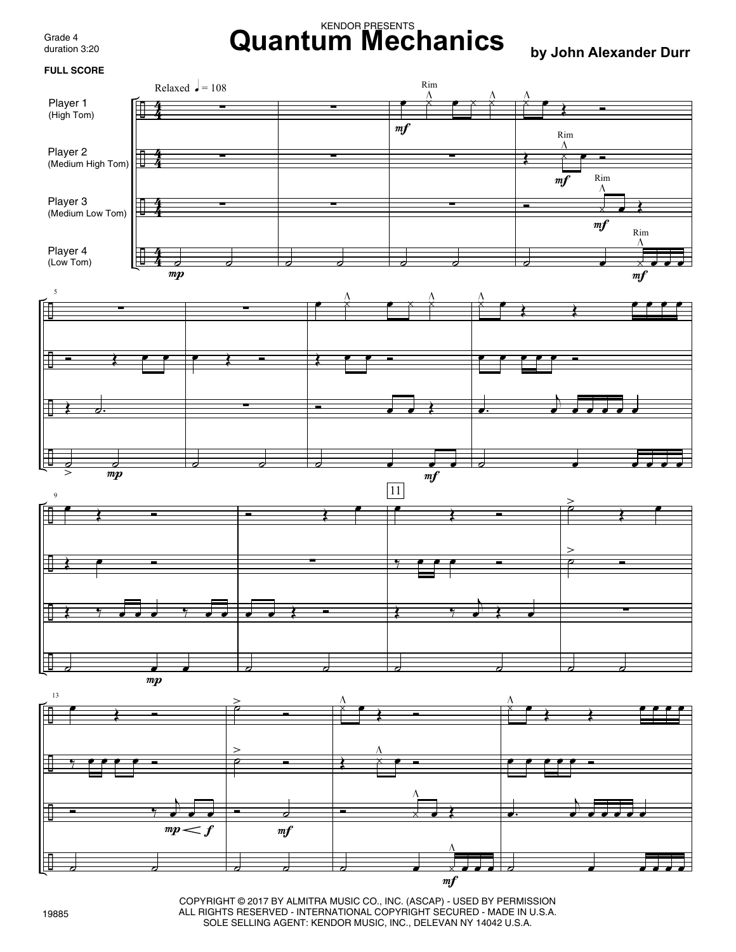Grade 4 duration 3:20

## KENDOR PRESENTS **Quantum Mechanics by John Alexander Durr**



COPYRIGHT © 2017 BY ALMITRA MUSIC CO., INC. (ASCAP) - USED BY PERMISSION ALL RIGHTS RESERVED - INTERNATIONAL COPYRIGHT SECURED - MADE IN U.S.A. SOLE SELLING AGENT: KENDOR MUSIC, INC., DELEVAN NY 14042 U.S.A.